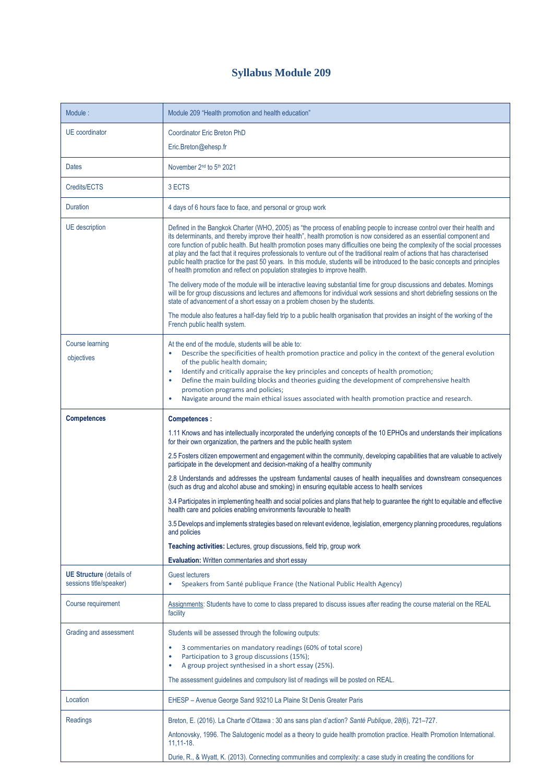## **Syllabus Module 209**

| Module:                                                    | Module 209 "Health promotion and health education"                                                                                                                                                                                                                                                                                                                                                                                                                                                                                                                                                                                                                                                                                                                                                                                                                                                                                                                                                                                                                           |
|------------------------------------------------------------|------------------------------------------------------------------------------------------------------------------------------------------------------------------------------------------------------------------------------------------------------------------------------------------------------------------------------------------------------------------------------------------------------------------------------------------------------------------------------------------------------------------------------------------------------------------------------------------------------------------------------------------------------------------------------------------------------------------------------------------------------------------------------------------------------------------------------------------------------------------------------------------------------------------------------------------------------------------------------------------------------------------------------------------------------------------------------|
| UE coordinator                                             | <b>Coordinator Eric Breton PhD</b>                                                                                                                                                                                                                                                                                                                                                                                                                                                                                                                                                                                                                                                                                                                                                                                                                                                                                                                                                                                                                                           |
|                                                            | Eric.Breton@ehesp.fr                                                                                                                                                                                                                                                                                                                                                                                                                                                                                                                                                                                                                                                                                                                                                                                                                                                                                                                                                                                                                                                         |
| <b>Dates</b>                                               | November 2 <sup>nd</sup> to 5 <sup>th</sup> 2021                                                                                                                                                                                                                                                                                                                                                                                                                                                                                                                                                                                                                                                                                                                                                                                                                                                                                                                                                                                                                             |
| Credits/ECTS                                               | 3 ECTS                                                                                                                                                                                                                                                                                                                                                                                                                                                                                                                                                                                                                                                                                                                                                                                                                                                                                                                                                                                                                                                                       |
| Duration                                                   | 4 days of 6 hours face to face, and personal or group work                                                                                                                                                                                                                                                                                                                                                                                                                                                                                                                                                                                                                                                                                                                                                                                                                                                                                                                                                                                                                   |
| <b>UE</b> description                                      | Defined in the Bangkok Charter (WHO, 2005) as "the process of enabling people to increase control over their health and<br>its determinants, and thereby improve their health", health promotion is now considered as an essential component and<br>core function of public health. But health promotion poses many difficulties one being the complexity of the social processes<br>at play and the fact that it requires professionals to venture out of the traditional realm of actions that has characterised<br>public health practice for the past 50 years. In this module, students will be introduced to the basic concepts and principles<br>of health promotion and reflect on population strategies to improve health.<br>The delivery mode of the module will be interactive leaving substantial time for group discussions and debates. Mornings<br>will be for group discussions and lectures and afternoons for individual work sessions and short debriefing sessions on the<br>state of advancement of a short essay on a problem chosen by the students. |
|                                                            | The module also features a half-day field trip to a public health organisation that provides an insight of the working of the<br>French public health system.                                                                                                                                                                                                                                                                                                                                                                                                                                                                                                                                                                                                                                                                                                                                                                                                                                                                                                                |
| <b>Course learning</b><br>objectives                       | At the end of the module, students will be able to:<br>Describe the specificities of health promotion practice and policy in the context of the general evolution<br>of the public health domain;<br>Identify and critically appraise the key principles and concepts of health promotion;<br>$\bullet$<br>Define the main building blocks and theories guiding the development of comprehensive health<br>$\bullet$<br>promotion programs and policies;<br>Navigate around the main ethical issues associated with health promotion practice and research.                                                                                                                                                                                                                                                                                                                                                                                                                                                                                                                  |
| <b>Competences</b>                                         | Competences:                                                                                                                                                                                                                                                                                                                                                                                                                                                                                                                                                                                                                                                                                                                                                                                                                                                                                                                                                                                                                                                                 |
|                                                            | 1.11 Knows and has intellectually incorporated the underlying concepts of the 10 EPHOs and understands their implications<br>for their own organization, the partners and the public health system                                                                                                                                                                                                                                                                                                                                                                                                                                                                                                                                                                                                                                                                                                                                                                                                                                                                           |
|                                                            | 2.5 Fosters citizen empowerment and engagement within the community, developing capabilities that are valuable to actively<br>participate in the development and decision-making of a healthy community                                                                                                                                                                                                                                                                                                                                                                                                                                                                                                                                                                                                                                                                                                                                                                                                                                                                      |
|                                                            | 2.8 Understands and addresses the upstream fundamental causes of health inequalities and downstream consequences<br>(such as drug and alcohol abuse and smoking) in ensuring equitable access to health services                                                                                                                                                                                                                                                                                                                                                                                                                                                                                                                                                                                                                                                                                                                                                                                                                                                             |
|                                                            | 3.4 Participates in implementing health and social policies and plans that help to guarantee the right to equitable and effective<br>health care and policies enabling environments favourable to health                                                                                                                                                                                                                                                                                                                                                                                                                                                                                                                                                                                                                                                                                                                                                                                                                                                                     |
|                                                            | 3.5 Develops and implements strategies based on relevant evidence, legislation, emergency planning procedures, regulations<br>and policies                                                                                                                                                                                                                                                                                                                                                                                                                                                                                                                                                                                                                                                                                                                                                                                                                                                                                                                                   |
|                                                            | Teaching activities: Lectures, group discussions, field trip, group work                                                                                                                                                                                                                                                                                                                                                                                                                                                                                                                                                                                                                                                                                                                                                                                                                                                                                                                                                                                                     |
|                                                            | Evaluation: Written commentaries and short essay                                                                                                                                                                                                                                                                                                                                                                                                                                                                                                                                                                                                                                                                                                                                                                                                                                                                                                                                                                                                                             |
| <b>UE Structure (details of</b><br>sessions title/speaker) | <b>Guest lecturers</b><br>Speakers from Santé publique France (the National Public Health Agency)                                                                                                                                                                                                                                                                                                                                                                                                                                                                                                                                                                                                                                                                                                                                                                                                                                                                                                                                                                            |
| Course requirement                                         | Assignments: Students have to come to class prepared to discuss issues after reading the course material on the REAL<br>facility                                                                                                                                                                                                                                                                                                                                                                                                                                                                                                                                                                                                                                                                                                                                                                                                                                                                                                                                             |
| Grading and assessment                                     | Students will be assessed through the following outputs:                                                                                                                                                                                                                                                                                                                                                                                                                                                                                                                                                                                                                                                                                                                                                                                                                                                                                                                                                                                                                     |
|                                                            | 3 commentaries on mandatory readings (60% of total score)<br>٠<br>Participation to 3 group discussions (15%);<br>A group project synthesised in a short essay (25%).<br>٠                                                                                                                                                                                                                                                                                                                                                                                                                                                                                                                                                                                                                                                                                                                                                                                                                                                                                                    |
|                                                            | The assessment guidelines and compulsory list of readings will be posted on REAL.                                                                                                                                                                                                                                                                                                                                                                                                                                                                                                                                                                                                                                                                                                                                                                                                                                                                                                                                                                                            |
| Location                                                   | EHESP - Avenue George Sand 93210 La Plaine St Denis Greater Paris                                                                                                                                                                                                                                                                                                                                                                                                                                                                                                                                                                                                                                                                                                                                                                                                                                                                                                                                                                                                            |
| Readings                                                   | Breton, E. (2016). La Charte d'Ottawa : 30 ans sans plan d'action? Santé Publique, 28(6), 721-727.                                                                                                                                                                                                                                                                                                                                                                                                                                                                                                                                                                                                                                                                                                                                                                                                                                                                                                                                                                           |
|                                                            | Antonovsky, 1996. The Salutogenic model as a theory to guide health promotion practice. Health Promotion International.<br>$11,11-18.$                                                                                                                                                                                                                                                                                                                                                                                                                                                                                                                                                                                                                                                                                                                                                                                                                                                                                                                                       |
|                                                            | Durie, R., & Wyatt, K. (2013). Connecting communities and complexity: a case study in creating the conditions for                                                                                                                                                                                                                                                                                                                                                                                                                                                                                                                                                                                                                                                                                                                                                                                                                                                                                                                                                            |